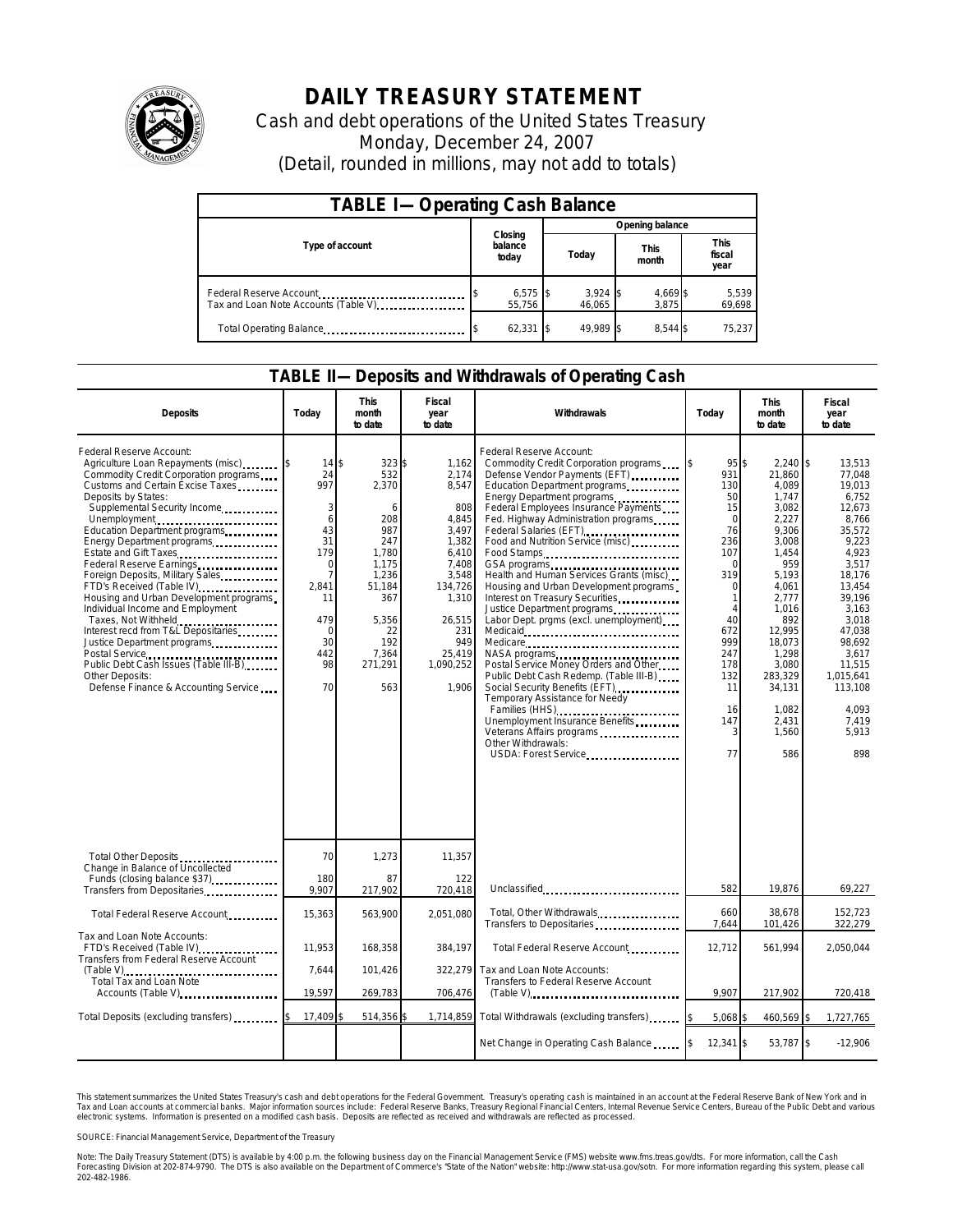

## **DAILY TREASURY STATEMENT**

Cash and debt operations of the United States Treasury Monday, December 24, 2007 (Detail, rounded in millions, may not add to totals)

| <b>TABLE I-Operating Cash Balance</b>                           |                             |                      |                      |                               |  |  |  |
|-----------------------------------------------------------------|-----------------------------|----------------------|----------------------|-------------------------------|--|--|--|
|                                                                 |                             | Opening balance      |                      |                               |  |  |  |
| Type of account                                                 | Closing<br>balance<br>today | Today                | <b>This</b><br>month | <b>This</b><br>fiscal<br>year |  |  |  |
| Federal Reserve Account<br>Tax and Loan Note Accounts (Table V) | $6,575$ \$<br>55.756        | $3,924$ \$<br>46.065 | 4,669 \$<br>3.875    | 5,539<br>69,698               |  |  |  |
| Total Operating Balance                                         | $62,331$ \$                 | 49.989               | 8.544 \$             | 75,237                        |  |  |  |

## **TABLE II—Deposits and Withdrawals of Operating Cash**

| <b>Deposits</b>                                                                                                                                                                                                                                                                                                                                                                                                                                                                                                                                                                                                                                                                                          | Todav                                                                                                                                 | <b>This</b><br>month<br>to date                                                                                                                    | <b>Fiscal</b><br>year<br>to date                                                                                                                                 | Withdrawals                                                                                                                                                                                                                                                                                                                                                                                                                                                                                                                                                                                                                                                                                                                                                                                                                                                              | Today                                                                                                                                                               | <b>This</b><br>month<br>to date                                                                                                                                                                                                  | Fiscal<br>year<br>to date                                                                                                                                                                                                                    |
|----------------------------------------------------------------------------------------------------------------------------------------------------------------------------------------------------------------------------------------------------------------------------------------------------------------------------------------------------------------------------------------------------------------------------------------------------------------------------------------------------------------------------------------------------------------------------------------------------------------------------------------------------------------------------------------------------------|---------------------------------------------------------------------------------------------------------------------------------------|----------------------------------------------------------------------------------------------------------------------------------------------------|------------------------------------------------------------------------------------------------------------------------------------------------------------------|--------------------------------------------------------------------------------------------------------------------------------------------------------------------------------------------------------------------------------------------------------------------------------------------------------------------------------------------------------------------------------------------------------------------------------------------------------------------------------------------------------------------------------------------------------------------------------------------------------------------------------------------------------------------------------------------------------------------------------------------------------------------------------------------------------------------------------------------------------------------------|---------------------------------------------------------------------------------------------------------------------------------------------------------------------|----------------------------------------------------------------------------------------------------------------------------------------------------------------------------------------------------------------------------------|----------------------------------------------------------------------------------------------------------------------------------------------------------------------------------------------------------------------------------------------|
| Federal Reserve Account:<br>Agriculture Loan Repayments (misc)<br>Commodity Credit Corporation programs<br>Customs and Certain Excise Taxes<br>Deposits by States:<br>Supplemental Security Income<br>Unemployment<br>Education Department programs<br>Energy Department programs<br>Estate and Gift Taxes<br>Federal Reserve Earnings<br>Foreign Deposits, Military Sales<br>FTD's Received (Table IV)<br>Housing and Urban Development programs<br>Individual Income and Employment<br>Taxes, Not Withheld<br>Interest recd from T&L Depositaries<br>Justice Department programs<br>Postal Service<br>Public Debt Cash Issues (Table III-B)<br>Other Deposits:<br>Defense Finance & Accounting Service | 14<br>24<br>997<br>3<br>6<br>43<br>31<br>179<br>$\Omega$<br>$\overline{7}$<br>2,841<br>11<br>479<br>$\Omega$<br>30<br>442<br>98<br>70 | \$<br>323\$<br>532<br>2,370<br>6<br>208<br>987<br>247<br>1,780<br>1.175<br>1,236<br>51,184<br>367<br>5,356<br>22<br>192<br>7,364<br>271,291<br>563 | 1,162<br>2,174<br>8,547<br>808<br>4,845<br>3,497<br>1,382<br>6.410<br>7.408<br>3,548<br>134,726<br>1,310<br>26,515<br>231<br>949<br>25.419<br>1,090,252<br>1.906 | Federal Reserve Account:<br>Commodity Credit Corporation programs<br>Defense Vendor Payments (EFT)<br>Education Department programs<br>Energy Department programs<br>Federal Employees Insurance Payments<br>Fed. Highway Administration programs<br>Federal Salaries (EFT)<br>Food and Nutrition Service (misc)<br>Food Stamps<br>GSA programs<br><br>Health and Human Services Grants (misc)<br>Housing and Urban Development programs<br>Interest on Treasury Securities<br>Justice Department programs<br>Labor Dept. prgms (excl. unemployment)<br>Medicare<br>NASA programs<br>Postal Service Money Orders and Other<br>Public Debt Cash Redemp. (Table III-B)<br>Social Security Benefits (EFT)<br>Temporary Assistance for Needy<br>Families (HHS)<br>Unemployment Insurance Benefits<br>Veterans Affairs programs<br>Other Withdrawals:<br>USDA: Forest Service | $95$ \\$<br>931<br>130<br>50<br>15<br>$\Omega$<br>76<br>236<br>107<br>$\Omega$<br>319<br>$\Omega$<br>40<br>672<br>999<br>247<br>178<br>132<br>11<br>16<br>147<br>77 | 2,240 \$<br>21.860<br>4,089<br>1,747<br>3.082<br>2,227<br>9,306<br>3,008<br>1,454<br>959<br>5.193<br>4,061<br>2,777<br>1,016<br>892<br>12.995<br>18,073<br>1,298<br>3,080<br>283,329<br>34,131<br>1,082<br>2,431<br>1,560<br>586 | 13,513<br>77.048<br>19,013<br>6.752<br>12.673<br>8,766<br>35,572<br>9.223<br>4.923<br>3.517<br>18.176<br>13,454<br>39,196<br>3.163<br>3.018<br>47.038<br>98,692<br>3,617<br>11,515<br>1.015.641<br>113,108<br>4,093<br>7,419<br>5.913<br>898 |
| Total Other Deposits                                                                                                                                                                                                                                                                                                                                                                                                                                                                                                                                                                                                                                                                                     | 70                                                                                                                                    | 1,273                                                                                                                                              | 11,357                                                                                                                                                           |                                                                                                                                                                                                                                                                                                                                                                                                                                                                                                                                                                                                                                                                                                                                                                                                                                                                          |                                                                                                                                                                     |                                                                                                                                                                                                                                  |                                                                                                                                                                                                                                              |
| Change in Balance of Uncollected<br>Funds (closing balance \$37)<br>Transfers from Depositaries                                                                                                                                                                                                                                                                                                                                                                                                                                                                                                                                                                                                          | 180<br>9,907                                                                                                                          | 87<br>217,902                                                                                                                                      | 122<br>720,418                                                                                                                                                   | Unclassified                                                                                                                                                                                                                                                                                                                                                                                                                                                                                                                                                                                                                                                                                                                                                                                                                                                             | 582                                                                                                                                                                 | 19,876                                                                                                                                                                                                                           | 69,227                                                                                                                                                                                                                                       |
| Total Federal Reserve Account                                                                                                                                                                                                                                                                                                                                                                                                                                                                                                                                                                                                                                                                            | 15,363                                                                                                                                | 563,900                                                                                                                                            | 2,051,080                                                                                                                                                        | Total, Other Withdrawals<br>Transfers to Depositaries                                                                                                                                                                                                                                                                                                                                                                                                                                                                                                                                                                                                                                                                                                                                                                                                                    | 660<br>7,644                                                                                                                                                        | 38,678<br>101,426                                                                                                                                                                                                                | 152.723<br>322,279                                                                                                                                                                                                                           |
| Tax and Loan Note Accounts:<br>FTD's Received (Table IV)<br><b>Transfers from Federal Reserve Account</b>                                                                                                                                                                                                                                                                                                                                                                                                                                                                                                                                                                                                | 11,953                                                                                                                                | 168,358                                                                                                                                            | 384.197                                                                                                                                                          | Total Federal Reserve Account                                                                                                                                                                                                                                                                                                                                                                                                                                                                                                                                                                                                                                                                                                                                                                                                                                            | 12,712                                                                                                                                                              | 561,994                                                                                                                                                                                                                          | 2,050,044                                                                                                                                                                                                                                    |
| (Table V)<br>Total Tax and Loan Note<br>Accounts (Table V)                                                                                                                                                                                                                                                                                                                                                                                                                                                                                                                                                                                                                                               | 7,644<br>19,597                                                                                                                       | 101,426<br>269,783                                                                                                                                 | 322,279<br>706,476                                                                                                                                               | Tax and Loan Note Accounts:<br>Transfers to Federal Reserve Account<br>$(Table V)$                                                                                                                                                                                                                                                                                                                                                                                                                                                                                                                                                                                                                                                                                                                                                                                       | 9,907                                                                                                                                                               | 217,902                                                                                                                                                                                                                          | 720,418                                                                                                                                                                                                                                      |
|                                                                                                                                                                                                                                                                                                                                                                                                                                                                                                                                                                                                                                                                                                          |                                                                                                                                       |                                                                                                                                                    |                                                                                                                                                                  |                                                                                                                                                                                                                                                                                                                                                                                                                                                                                                                                                                                                                                                                                                                                                                                                                                                                          |                                                                                                                                                                     |                                                                                                                                                                                                                                  |                                                                                                                                                                                                                                              |
| Total Deposits (excluding transfers)                                                                                                                                                                                                                                                                                                                                                                                                                                                                                                                                                                                                                                                                     | 17,409                                                                                                                                | 514,356 \$                                                                                                                                         | 1,714,859                                                                                                                                                        | Total Withdrawals (excluding transfers)                                                                                                                                                                                                                                                                                                                                                                                                                                                                                                                                                                                                                                                                                                                                                                                                                                  | 5,068 \$                                                                                                                                                            | 460,569                                                                                                                                                                                                                          | 1,727,765<br>ß.                                                                                                                                                                                                                              |
|                                                                                                                                                                                                                                                                                                                                                                                                                                                                                                                                                                                                                                                                                                          |                                                                                                                                       |                                                                                                                                                    |                                                                                                                                                                  | Net Change in Operating Cash Balance                                                                                                                                                                                                                                                                                                                                                                                                                                                                                                                                                                                                                                                                                                                                                                                                                                     | $12,341$ \$                                                                                                                                                         | 53,787 \$                                                                                                                                                                                                                        | $-12,906$                                                                                                                                                                                                                                    |

This statement summarizes the United States Treasury's cash and debt operations for the Federal Government. Treasury's operating cash is maintained in an account at the Federal Reserve Bank of New York and in<br>Tax and Loan narizes the United States Treasury's cash and debt operations for the Federal Government. Treasury's operating cash is maintained in an account at the Federal Reserve Bank of New York and in<br>nts at commercial banks. Major

SOURCE: Financial Management Service, Department of the Treasury

Note: The Daily Treasury Statement (DTS) is available by 4:00 p.m. the following business day on the Financial Management Service (FMS) website www.fms.treas.gov/dts. For more information, call the Cash<br>Forecasting Divisio 202-482-1986.